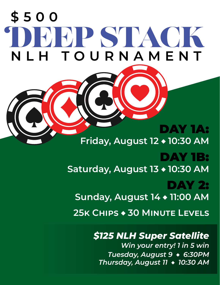# TDEEP STACK **NLH TOURNAMENT \$500**

# DAY 1A: **Friday, August 12 ♦ 10:30 AM** DAY 1B: **Saturday, August 13 ♦ 10:30 AM** DAY 2: **Sunday, August 14 ♦ 11:00 AM 25k Chips ♦ 30 Minute Levels**

## *\$125 NLH Super Satellite*

*Win your entry! 1 in 5 win Tuesday, August 9* **♦** *6:30PM Thursday, August 11* **♦** *10:30 AM*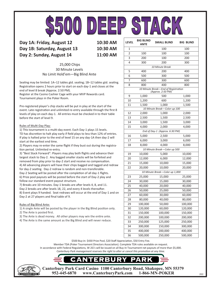

**Day 1A: Friday, August 12 10:30 AM Day 1B: Saturday, August 13 10:30 AM Day 2: Sunday, August 14 11:00 AM**

#### 25,000 Chips 30 Minute Levels No Limit Hold'em—Big Blind Ante

Seating may be limited: 1A–12 tables gtd. seating; 1B–12 tables gtd. seating. Registration opens 2 hours prior to start on each day-1 and closes at the end of level 8 break (Approx. 2:50 PM).

Register at the Casino Cashier Cage with your MVP Rewards card. Tournament plays in the Poker Room.

Pre-registered player's chip stacks will be put in play at the start of the event. Late registration and unlimited re-entry available through the first 8 levels of play on each day-1. All entries must be checked in to their table before the start of level 9.

#### Rules of Multi-Day Play:

1) This tournament is a multi-day event. Each Day-1 plays 15 levels. TD has discretion to halt play early if field plays to less than 12% of entries. If play is halted prior to the end of level 15 on any day-1A then day-2 will start at the earliest end time.

2) Players may re-enter the same flight if they bust out during the registration period. Unlimited re-entry.

3) "Best Stack Forward": Players may play both flights and advance their largest stack to Day-2. Any bagged smaller stacks will be forfeited and removed from play prior to day-2 start and receive no compensation. 4) All advancing players will have their chips bagged and tagged and redraw for day-2 seating. Day-2 redraw is random and non-transferable. Day-2 Seating will be posted after the completion of all day-1 flights. 6) Prize pool payouts will be posted before the start of Day-2 play and follow our standard event payout structure.

7) Breaks are 10 minutes. Day-1 breaks are after levels 4, 8, and 11. Day-2 breaks are after levels 18, 22, and every 4 levels thereafter. 8) Event plays 9 handed. Seat redraws will occur at the end of Day-1 and on Day-2 at 27 players and final table of 9.

#### Rules of Big Blind Ante:

1) A single Ante will be posted by the player in the Big Blind position only.

- 2) The Ante is posted first.
- 3) The Ante is dead money. All other players may win the entire ante.
- 4) The Ante is the same amount as the Big Blind and will never reduce.

| <b>LEVEL</b>                   | <b>BIG BLIND</b><br>ANTE | SMALL BLIND                                              | <b>BIG BLIND</b> |  |
|--------------------------------|--------------------------|----------------------------------------------------------|------------------|--|
| 1                              |                          | 100                                                      | 100              |  |
| $\overline{2}$                 | 100                      | 100                                                      | 100              |  |
| 3                              | 200                      | 100                                                      | 200              |  |
| 4                              | 300                      | 200                                                      | 300              |  |
|                                |                          | 10 Minute Break                                          |                  |  |
| 5                              | 400                      | 200                                                      | 400              |  |
| 6                              | 500                      | 300                                                      | 500              |  |
| 7                              | 600                      | 300                                                      | 600              |  |
| 8                              | 800                      | 400                                                      | 800              |  |
|                                |                          | 10 Minute Break-End of Registration<br>(Approx. 2:50 PM) |                  |  |
| 9                              | 1,000                    | 500                                                      | 1,000            |  |
| 10                             | 1,200                    | 600                                                      | 1,200            |  |
| 11                             | 1,500                    | 1,000                                                    | 1,500            |  |
|                                |                          | 10 Minute Break-Color-up 100                             |                  |  |
| 12                             | 2,000                    | 1,000                                                    | 2,000            |  |
| 13                             | 2,500                    | 1,500                                                    | 2,500            |  |
| 14                             | 3,000                    | 1,500                                                    | 3,000            |  |
| 15                             | 4,000                    | 2,000                                                    | 4,000            |  |
|                                |                          | End of Day-1 (Approx. 6:30 PM)                           |                  |  |
| 16                             | 5,000                    | 2,500                                                    | 5,000            |  |
| 17                             | 6,000                    | 3,000                                                    | 6,000            |  |
| 18                             | 8,000                    | 4,000                                                    | 8,000            |  |
|                                |                          | 10 Minute Break-Color up 500                             |                  |  |
| 19                             | 10,000                   | 5,000                                                    | 10,000           |  |
| 20                             | 12,000                   | 6,000                                                    | 12,000           |  |
| 21                             | 15,000                   | 10,000                                                   | 15,000           |  |
| 22                             | 20,000                   | 10,000                                                   | 20,000           |  |
| 10 Minute Break-Color up 1,000 |                          |                                                          |                  |  |
| 23                             | 25,000                   | 15,000                                                   | 25,000           |  |
| 24                             | 30,000                   | 15,000                                                   | 30,000           |  |
| 25                             | 40,000                   | 20,000                                                   | 40,000           |  |
| 26                             | 50,000                   | 25,000                                                   | 50,000           |  |
| 27                             | 60,000                   | 30,000                                                   | 60,000           |  |
| $\overline{28}$                | 80,000                   | 40,000                                                   | 80,000           |  |
| 29                             | 100,000                  | 50,000                                                   | 100,000          |  |
| 30                             | 120,000                  | 60,000                                                   | 120,000          |  |
| 31                             | 150,000                  | 100,000                                                  | 150,000          |  |
| 32                             | 200,000                  | 100,000                                                  | 200,000          |  |
| 33                             | 250,000                  | 125,000                                                  | 250,000          |  |
| 34                             | 300,000                  | 150,000                                                  | 300,000          |  |
| 35                             | 400,000                  | 200,000                                                  | 400,000          |  |
| 36                             | 500,000                  | 250,000                                                  | 500,000          |  |

\$500 Buy-in: \$430 Prize Pool, \$20 Staff Appreciation, \$50 Entry Fee.

Member TDA (Poker Tournament Directors Association). Complete TDA rules available on request.

In accordance with Federal Regulations, W-2G's will be issued on all Buy-In Tournament net payouts of more than \$5,000.

*Canterbury Park management reserves the right to alter or cancel this promotion at any time.* 





**Canterbury Park Card Casino 1100 Canterbury Road, Shakopee, MN 55379** www.CanterburyPark.com